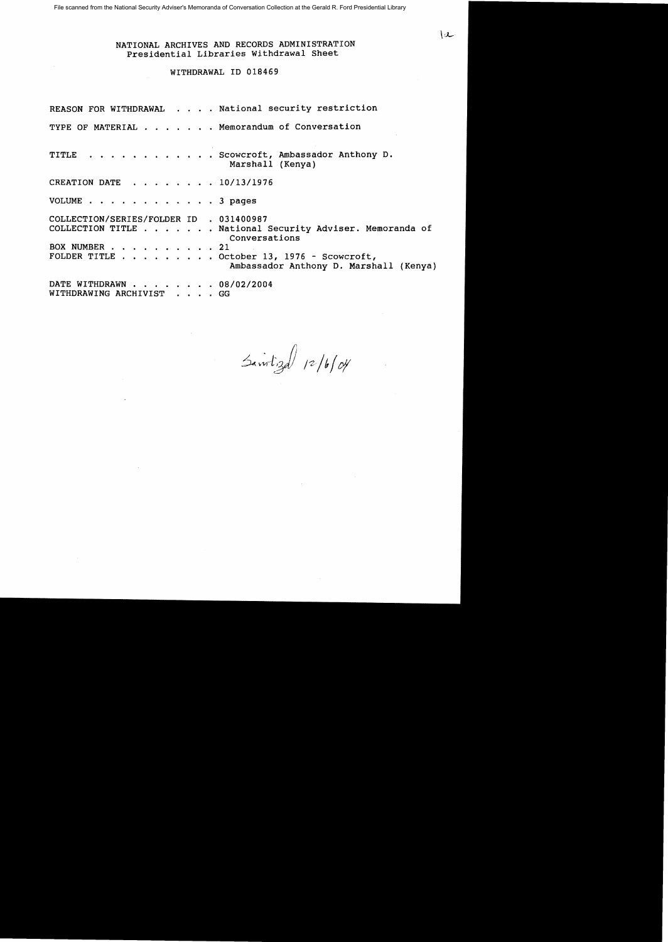NATIONAL ARCHIVES AND RECORDS ADMINISTRATION Presidential Libraries Withdrawal Sheet

 $\mathcal{L}$ 

## WITHDRAWAL ID 018469

REASON FOR WITHDRAWAL . . . . National security restriction TYPE OF MATERIAL . . . . . . Memorandum of Conversation TITLE . . . . . . . . . . . Scowcroft, Ambassador Anthony D. Marshall (Kenya) CREATION DATE . . . . . . . 10/13/1976 VOLUME . . . . . . . . . . . . 3 pages COLLECTION/SERIES/FOLDER ID . 031400987 COLLECTION TITLE . . . . . . National Security Adviser. Memoranda of Conversations<br>
. . 21 BOX NUMBER . . .<br>FOLDER TITLE . .  $\ldots$  . . October 13, 1976 - Scowcroft, Ambassador Anthony D. Marshall (Kenya) DATE WITHDRAWN  $\cdots$ ,  $\cdots$ , 08/02/2004<br>WITHDRAWING ARCHIVIST WITHDRAWING ARCHIVIST . . .

Saintigal  $12/6/04$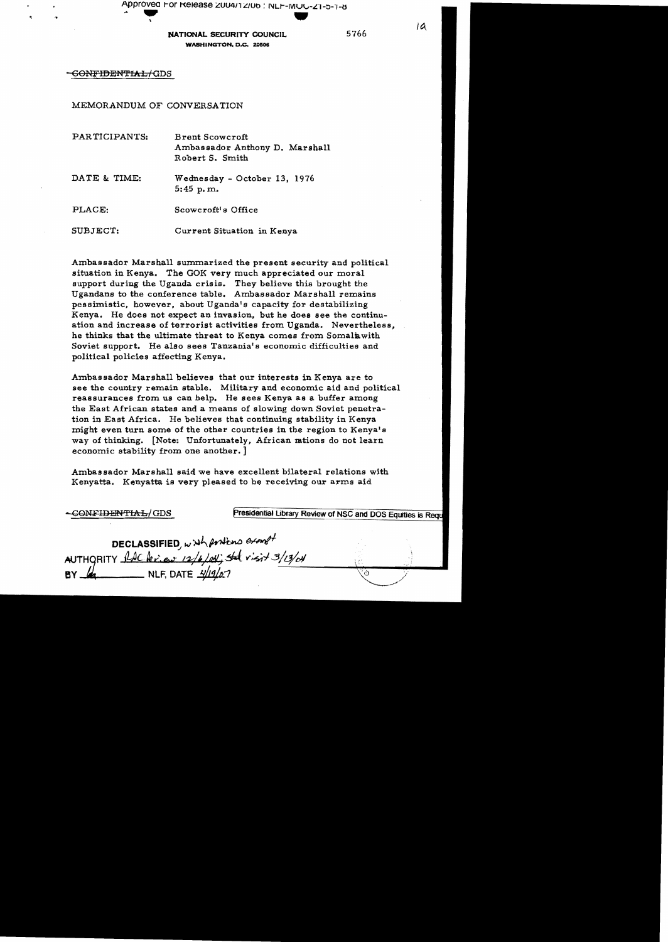Approved For Release 2004/12/06 : NLF-MUC-21-5-1-6 .. - \ .

NATIONAL SECURITY COUNCIL 5766 WASHINGTON, D.C. 20506

6<del>ONFIDENTIAL/ G</del>DS

MEMORANDUM OF CONVERSATION

| PARTICIPANTS: | <b>Brent Scowcroft</b><br>Ambassador Anthony D. Marshall<br>Robert S. Smith |  |  |  |  |
|---------------|-----------------------------------------------------------------------------|--|--|--|--|
| DATE & TIME:  | Wednesday - October 13, 1976<br>$5:45$ p.m.                                 |  |  |  |  |
| PLACE:        | Scowcroft's Office                                                          |  |  |  |  |
| SUBJECT:      | Current Situation in Kenya                                                  |  |  |  |  |

Ambassador Marshall summarized the present security and political situation in Kenya. The GOK very much appreciated our moral support during the Uganda crisis. They believe this brought the Ugandans to the conference table. Ambassador Marshall remains pessimistic, however. about Uganda's capacity for destabilizing Kenya. He does not expect an invasion, but he does see the continu ation and increase of terrorist activities from Uganda. Nevertheless, he thinks that the ultimate threat to Kenya comes from Somaliawith Soviet support. He also sees Tanzania's economic difficulties and political policies affecting Kenya.

Ambas sador Marshall believes that our interests in Kenya are to see the country remain stable. Military and economic aid and political reassurances from us can help. He sees Kenya as a buffer among the East African states and a means of slowing down Soviet penetra tion in East Africa. He believes that continuing stability in Kenya might even turn some of the other countries in the region to Kenya's way of thinking. [Note: Unfortunately, African mtions do not learn economic stability from one another.]

Ambassador Marshall said we have excellent bilateral relations with Kenyatta. Kenyatta is very pleased to be receiving our arms aid

| -CONFIDENTIAL/GDS                                                                        | Presidential Library Review of NSC and DOS Equities is Required |  |  |
|------------------------------------------------------------------------------------------|-----------------------------------------------------------------|--|--|
| DECLASSIFIED, with positions exempt<br>AUTHORITY AAC lexies 12/6/04; State visit 3/13/04 |                                                                 |  |  |
|                                                                                          |                                                                 |  |  |
| $\equiv$ NLF, DATE $\frac{\sqrt{19}}{2}$<br>BY                                           |                                                                 |  |  |

 $\overline{a}$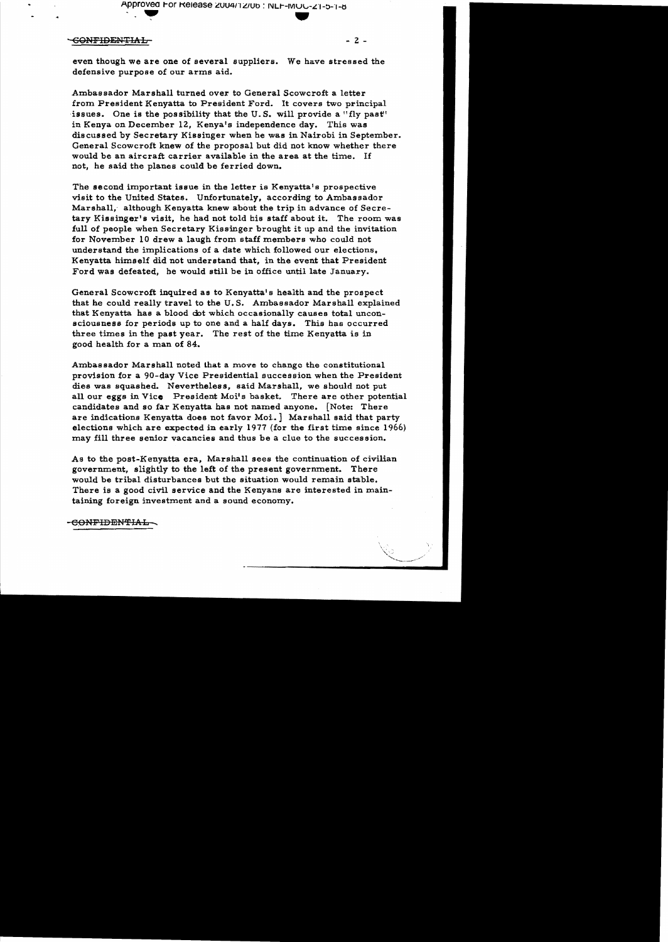Approved For Release 2004/12/06 : NLF-MOG-21-5-1-6 Approved For Release 2004/12/06 : NLF-MOC-21

## -GONFIDENTIAL ~ 2

even though we are one of several suppliers. We have stressed the defensive purpose of our arms aid.

Ambassador Marshall turned over to General Scowcroft a letter from President Kenyatta to President Ford. It covers two principal issues. One is the possibility that the U.S. will provide a "fly past" in Kenya on December 12, Kenya's independence day. This was discussed by Secretary Kissinger when he was in Nairobi in September. General Scowcroft knew of the proposal but did not know whether there would be an aircraft carrier available in the area at the time. If not, he said the planes could be ferried down.

The second important issue in the letter is Kenyatta's prospective visit to the United States. Unfortunately, according to Ambassador Marshall, although Kenyatta knew about the trip in advance of Secretary Kissinger's visit, he had not told his staff about it. The room was full of people when Secretary Kissinger brought it up and the invitation for November 10 drew a laugh from staff members who could not understand the implications of a date which followed our elections. Kenyatta himself did not understand that, in the event that President Ford was defeated, he would still be in office until late January.

General Scowcroft inquired as to Kenyatta' s health and the prospect that he could really travel to the U. S. Ambassador Marshall explained that Kenyatta has a blood dot which occasionally causes total unconsciousness for periods up to one and a half days. This has occurred three times in the past year. The rest of the time Kenyatta is in good health for a man of 84.

Ambassador Marshall noted that a moye to change the constitutional provision for a 90-day Vice Presidential succession when the President dies was squashed. Nevertheless, said Marshall, we should not put all our eggs in Vice. President Moi's basket. There are other potential candidates and so far Kenyatta has not named anyone. [Note: There are indications Kenyatta does not favor Moi. | Marshall said that party elections which are expected in early 1977 (for the first time since 1966) may fill three senior vacancies and thus be a clue to the succession.

As to the post-Kenyatta era, Marshall sees the continuation of civilian government, slightly to the left of the present government. There would be tribal disturbances but the situation would remain stable. There is a good civil service and the Kenyans are interested in main taining foreign investment and a sound economy.

60NFIDENTIAL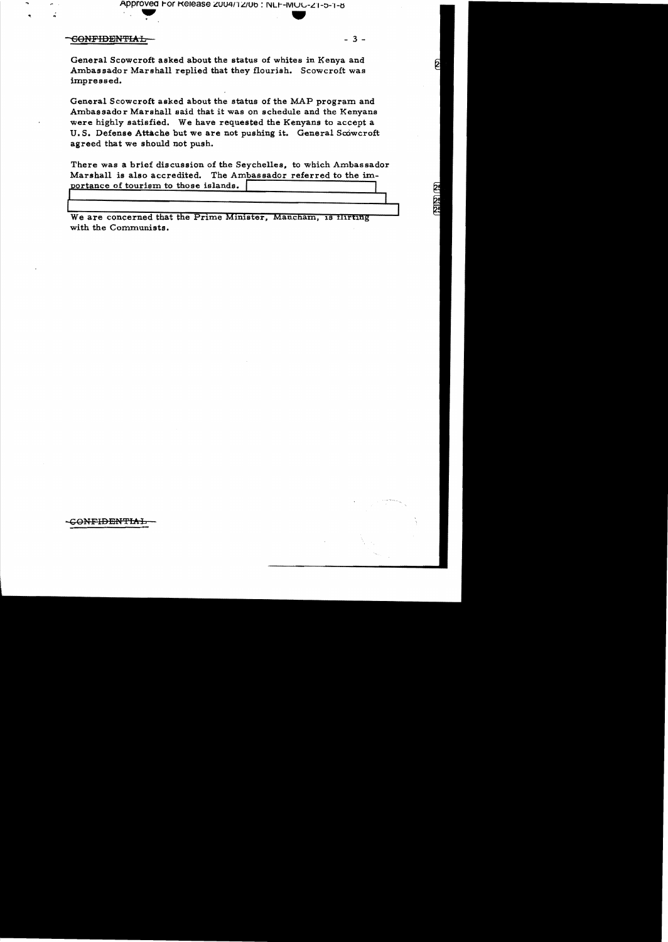Approved For Release 2004/12/06 : NLF-MOU-Z1-5-1-6

## <del>CONFIDENTIAL</del>

 $-3 -$ 

2

General Scowcroft asked about the status of whites in Kenya and Ambassador Marshall replied that they flourish. Scowcroft was impressed.

General Scowcroft asked about the status of the MAP program and Ambassador Marshall said that it was on schedule and the Kenyans were highly satisfied. We have requested the Kenyans to accept a U.S. Defense Attache but we are not pushing it. General Scowcroft agreed that we should not push.

There was a brief discussion of the Seychelles, to which Ambassador Marshall is also accredited. The Ambassador referred to the importance of tourism to those islands.

We are concerned that the Prime Minister, Mancham, is flirting with the Communists.

<del>CONFIDENTIAL</del>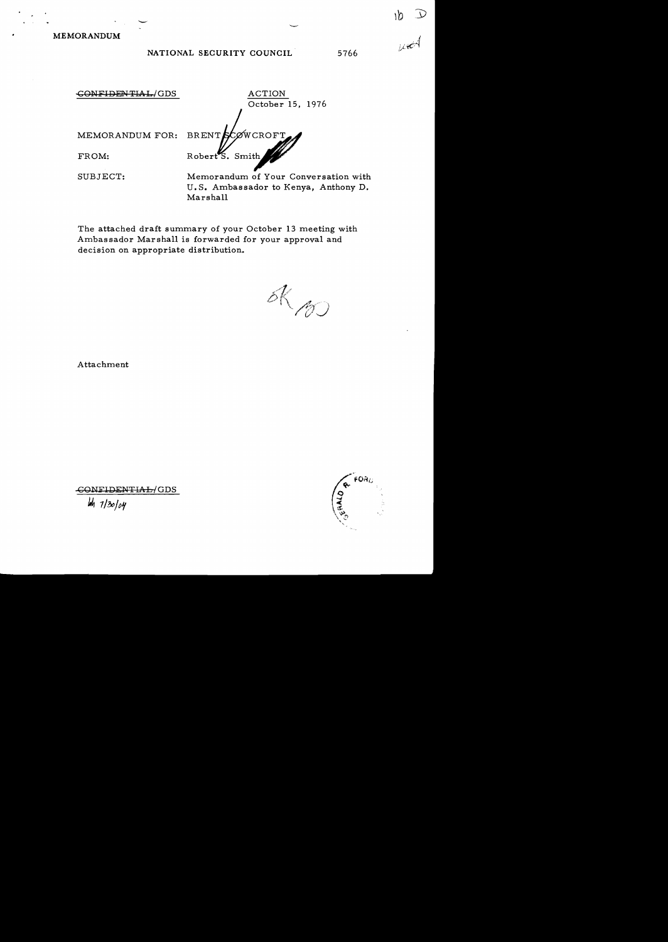MEMORANDUM

## NATIONAL SECURITY COUNCIL 5766

GONFIDENTIAL-/GDS ACTION October 15, 1976 CØWCROFT MEMORANDUM FOR: **BRENT** FROM: Robert  ${\sf S.}$  Smith SUBJECT: Memorandum of Your Conversation with U. S. Ambassador to Kenya, Anthony D. Marshall

The attached draft summary of your October 13 meeting with Ambassador Marshall is forwarded for your approval and decision on appropriate distribution.

 $dR_{100}$ 

Attachment



..cONli'IDENTIAL/GDS

 $4/30/04$